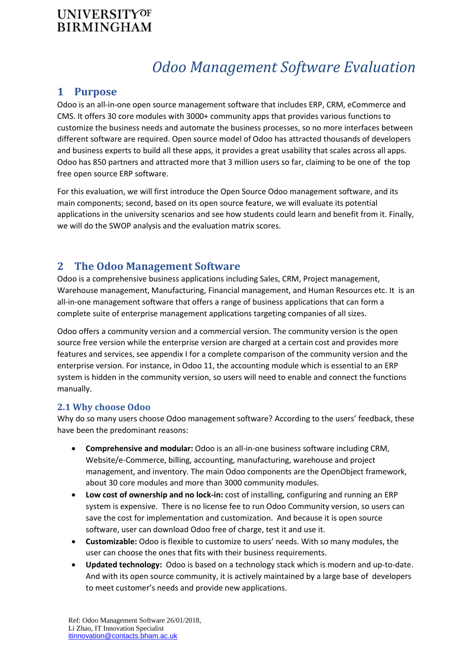# *Odoo Management Software Evaluation*

## **1 Purpose**

Odoo is an all-in-one open source management software that includes ERP, CRM, eCommerce and CMS. It offers 30 core modules with 3000+ community apps that provides various functions to customize the business needs and automate the business processes, so no more interfaces between different software are required. Open source model of Odoo has attracted thousands of developers and business experts to build all these apps, it provides a great usability that scales across all apps. Odoo has 850 partners and attracted more that 3 million users so far, claiming to be one of the top free open source ERP software.

For this evaluation, we will first introduce the Open Source Odoo management software, and its main components; second, based on its open source feature, we will evaluate its potential applications in the university scenarios and see how students could learn and benefit from it. Finally, we will do the SWOP analysis and the evaluation matrix scores.

## **2 The Odoo Management Software**

Odoo is a comprehensive business applications including Sales, CRM, Project management, Warehouse management, Manufacturing, Financial management, and Human Resources etc. It is an all-in-one management software that offers a range of business applications that can form a complete suite of enterprise management applications targeting companies of all sizes.

Odoo offers a community version and a commercial version. The community version is the open source free version while the enterprise version are charged at a certain cost and provides more features and services, see appendix I for a complete comparison of the community version and the enterprise version. For instance, in Odoo 11, the accounting module which is essential to an ERP system is hidden in the community version, so users will need to enable and connect the functions manually.

#### **2.1 Why choose Odoo**

Why do so many users choose Odoo management software? According to the users' feedback, these have been the predominant reasons:

- **Comprehensive and modular:** Odoo is an all-in-one business software including CRM, Website/e-Commerce, billing, accounting, manufacturing, warehouse and project management, and inventory. The main Odoo components are the OpenObject framework, about 30 core modules and more than 3000 community modules.
- **Low cost of ownership and no lock-in:** cost of installing, configuring and running an ERP system is expensive. There is no license fee to run Odoo Community version, so users can save the cost for implementation and customization. And because it is open source software, user can download Odoo free of charge, test it and use it.
- **Customizable:** Odoo is flexible to customize to users' needs. With so many modules, the user can choose the ones that fits with their business requirements.
- **Updated technology:** Odoo is based on a technology stack which is modern and up-to-date. And with its open source community, it is actively maintained by a large base of developers to meet customer's needs and provide new applications.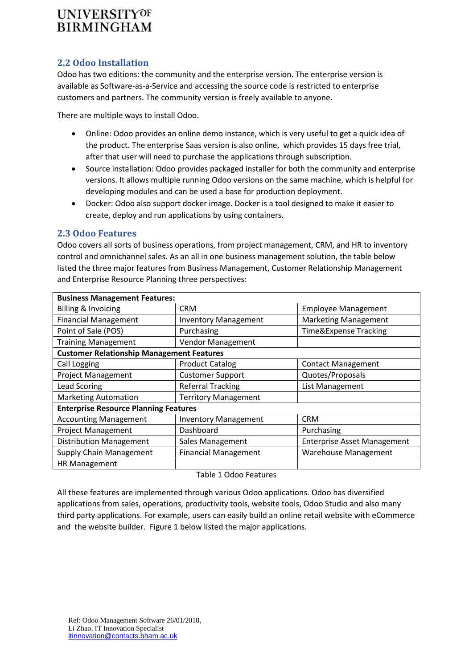#### **2.2 Odoo Installation**

Odoo has two editions: the community and the enterprise version. The enterprise version is available as Software-as-a-Service and accessing the source code is restricted to enterprise customers and partners. The community version is freely available to anyone.

There are multiple ways to install Odoo.

- Online: Odoo provides an online demo instance, which is very useful to get a quick idea of the product. The enterprise Saas version is also online, which provides 15 days free trial, after that user will need to purchase the applications through subscription.
- Source installation: Odoo provides packaged installer for both the community and enterprise versions. It allows multiple running Odoo versions on the same machine, which is helpful for developing modules and can be used a base for production deployment.
- Docker: Odoo also support docker image. Docker is a tool designed to make it easier to create, deploy and run applications by using containers.

#### **2.3 Odoo Features**

Odoo covers all sorts of business operations, from project management, CRM, and HR to inventory control and omnichannel sales. As an all in one business management solution, the table below listed the three major features from Business Management, Customer Relationship Management and Enterprise Resource Planning three perspectives:

| <b>Business Management Features:</b>             |                                     |                                    |  |  |  |  |
|--------------------------------------------------|-------------------------------------|------------------------------------|--|--|--|--|
| Billing & Invoicing                              | <b>CRM</b>                          | <b>Employee Management</b>         |  |  |  |  |
| <b>Financial Management</b>                      | <b>Inventory Management</b>         | <b>Marketing Management</b>        |  |  |  |  |
| Point of Sale (POS)                              | Time&Expense Tracking<br>Purchasing |                                    |  |  |  |  |
| <b>Training Management</b>                       | Vendor Management                   |                                    |  |  |  |  |
| <b>Customer Relationship Management Features</b> |                                     |                                    |  |  |  |  |
| Call Logging                                     | <b>Product Catalog</b>              | <b>Contact Management</b>          |  |  |  |  |
| <b>Project Management</b>                        | <b>Customer Support</b>             | Quotes/Proposals                   |  |  |  |  |
| <b>Lead Scoring</b>                              | <b>Referral Tracking</b>            | List Management                    |  |  |  |  |
| <b>Marketing Automation</b>                      | <b>Territory Management</b>         |                                    |  |  |  |  |
| <b>Enterprise Resource Planning Features</b>     |                                     |                                    |  |  |  |  |
| <b>Accounting Management</b>                     | <b>Inventory Management</b>         | <b>CRM</b>                         |  |  |  |  |
| <b>Project Management</b>                        | Dashboard                           | Purchasing                         |  |  |  |  |
| <b>Distribution Management</b>                   | Sales Management                    | <b>Enterprise Asset Management</b> |  |  |  |  |
| <b>Supply Chain Management</b>                   | <b>Financial Management</b>         | <b>Warehouse Management</b>        |  |  |  |  |
| <b>HR Management</b>                             |                                     |                                    |  |  |  |  |

#### Table 1 Odoo Features

All these features are implemented through various Odoo applications. Odoo has diversified applications from sales, operations, productivity tools, website tools, Odoo Studio and also many third party applications. For example, users can easily build an online retail website with eCommerce and the website builder. Figure 1 below listed the major applications.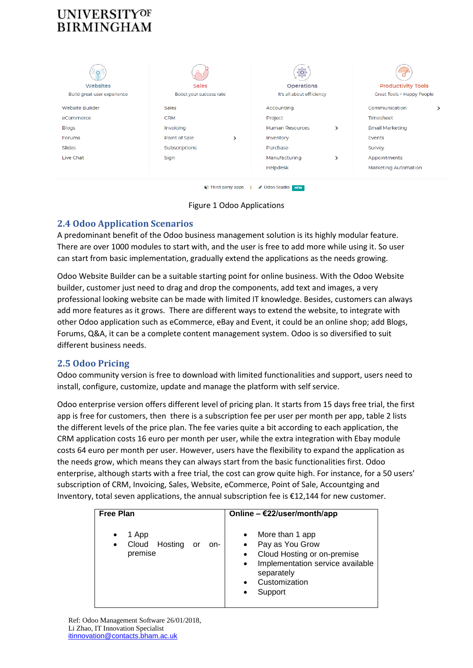|                             |                           |   | SOS                       |               |                             |  |
|-----------------------------|---------------------------|---|---------------------------|---------------|-----------------------------|--|
| Websites                    | <b>Sales</b>              |   | <b>Operations</b>         |               | <b>Productivity Tools</b>   |  |
| Build great user experience | Boost your success rate   |   | It's all about efficiency |               | Great Tools = Happy People  |  |
| <b>Website Builder</b>      | Sales                     |   | Accounting                |               | Communication               |  |
| eCommerce                   | <b>CRM</b>                |   | Project                   |               | Timesheet                   |  |
| <b>Blogs</b>                | Invoicing                 |   | <b>Human Resources</b>    | $\rightarrow$ | <b>Email Marketing</b>      |  |
| Forums                      | Point of Sale             | ⋋ | Inventory                 |               | Events                      |  |
| Slides                      | Subscriptions             |   | <b>Purchase</b>           |               | Survey                      |  |
| Live Chat                   | Sign                      |   | Manufacturing             | ゝ             | Appointments                |  |
|                             |                           |   | Helpdesk                  |               | <b>Marketing Automation</b> |  |
|                             |                           |   |                           |               |                             |  |
|                             | <b>O</b> Third party apps |   | ✔ Odoo Studio Naw         |               |                             |  |



### **2.4 Odoo Application Scenarios**

A predominant benefit of the Odoo business management solution is its highly modular feature. There are over 1000 modules to start with, and the user is free to add more while using it. So user can start from basic implementation, gradually extend the applications as the needs growing.

Odoo Website Builder can be a suitable starting point for online business. With the Odoo Website builder, customer just need to drag and drop the components, add text and images, a very professional looking website can be made with limited IT knowledge. Besides, customers can always add more features as it grows. There are different ways to extend the website, to integrate with other Odoo application such as eCommerce, eBay and Event, it could be an online shop; add Blogs, Forums, Q&A, it can be a complete content management system. Odoo is so diversified to suit different business needs.

### **2.5 Odoo Pricing**

Odoo community version is free to download with limited functionalities and support, users need to install, configure, customize, update and manage the platform with self service.

Odoo enterprise version offers different level of pricing plan. It starts from 15 days free trial, the first app is free for customers, then there is a subscription fee per user per month per app, table 2 lists the different levels of the price plan. The fee varies quite a bit according to each application, the CRM application costs 16 euro per month per user, while the extra integration with Ebay module costs 64 euro per month per user. However, users have the flexibility to expand the application as the needs grow, which means they can always start from the basic functionalities first. Odoo enterprise, although starts with a free trial, the cost can grow quite high. For instance, for a 50 users' subscription of CRM, Invoicing, Sales, Website, eCommerce, Point of Sale, Accountging and Inventory, total seven applications, the annual subscription fee is €12,144 for new customer.

| Free Plan                                                      | Online - $E22$ /user/month/app                                                                                                                               |
|----------------------------------------------------------------|--------------------------------------------------------------------------------------------------------------------------------------------------------------|
| 1 App<br>Hosting<br>Cloud<br>or<br>on-<br>$\bullet$<br>premise | More than 1 app<br>Pay as You Grow<br>Cloud Hosting or on-premise<br>Implementation service available<br>$\bullet$<br>separately<br>Customization<br>Support |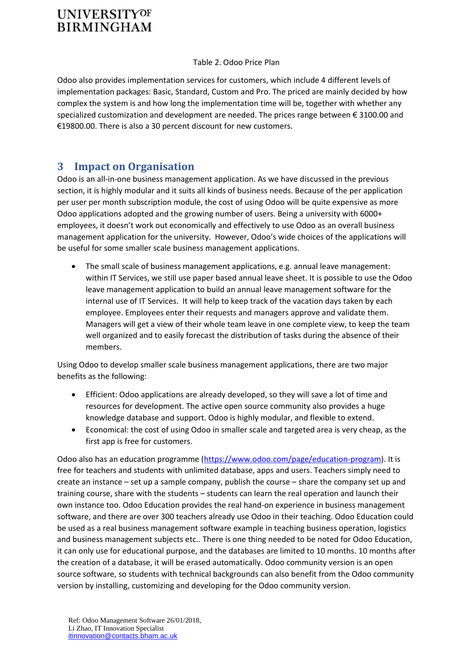#### Table 2. Odoo Price Plan

Odoo also provides implementation services for customers, which include 4 different levels of implementation packages: Basic, Standard, Custom and Pro. The priced are mainly decided by how complex the system is and how long the implementation time will be, together with whether any specialized customization and development are needed. The prices range between € 3100.00 and €19800.00. There is also a 30 percent discount for new customers.

# **3 Impact on Organisation**

Odoo is an all-in-one business management application. As we have discussed in the previous section, it is highly modular and it suits all kinds of business needs. Because of the per application per user per month subscription module, the cost of using Odoo will be quite expensive as more Odoo applications adopted and the growing number of users. Being a university with 6000+ employees, it doesn't work out economically and effectively to use Odoo as an overall business management application for the university. However, Odoo's wide choices of the applications will be useful for some smaller scale business management applications.

 The small scale of business management applications, e.g. annual leave management: within IT Services, we still use paper based annual leave sheet. It is possible to use the Odoo leave management application to build an annual leave management software for the internal use of IT Services. It will help to keep track of the vacation days taken by each employee. Employees enter their requests and managers approve and validate them. Managers will get a view of their whole team leave in one complete view, to keep the team well organized and to easily forecast the distribution of tasks during the absence of their members.

Using Odoo to develop smaller scale business management applications, there are two major benefits as the following:

- Efficient: Odoo applications are already developed, so they will save a lot of time and resources for development. The active open source community also provides a huge knowledge database and support. Odoo is highly modular, and flexible to extend.
- Economical: the cost of using Odoo in smaller scale and targeted area is very cheap, as the first app is free for customers.

Odoo also has an education programme [\(https://www.odoo.com/page/education-program\)](https://www.odoo.com/page/education-program). It is free for teachers and students with unlimited database, apps and users. Teachers simply need to create an instance – set up a sample company, publish the course – share the company set up and training course, share with the students – students can learn the real operation and launch their own instance too. Odoo Education provides the real hand-on experience in business management software, and there are over 300 teachers already use Odoo in their teaching. Odoo Education could be used as a real business management software example in teaching business operation, logistics and business management subjects etc.. There is one thing needed to be noted for Odoo Education, it can only use for educational purpose, and the databases are limited to 10 months. 10 months after the creation of a database, it will be erased automatically. Odoo community version is an open source software, so students with technical backgrounds can also benefit from the Odoo community version by installing, customizing and developing for the Odoo community version.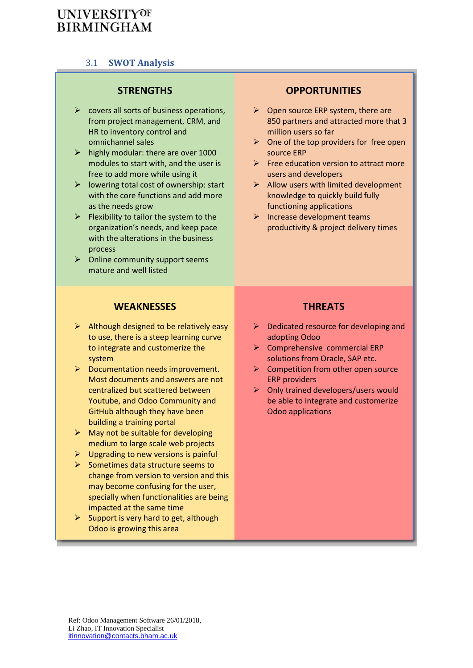### 3.1 **SWOT Analysis**

### **STRENGTHS OPPORTUNITIES**

- $\triangleright$  covers all sorts of business operations. from project management, CRM, and HR to inventory control and omnichannel sales
- $\triangleright$  highly modular: there are over 1000 modules to start with, and the user is free to add more while using it
- $\triangleright$  lowering total cost of ownership: start with the core functions and add more as the needs grow
- $\triangleright$  Flexibility to tailor the system to the organization's needs, and keep pace with the alterations in the business process
- $\triangleright$  Online community support seems mature and well listed

- $\triangleright$  Open source ERP system, there are 850 partners and attracted more that 3 million users so far
- $\triangleright$  One of the top providers for free open source ERP
- $\triangleright$  Free education version to attract more users and developers
- $\triangleright$  Allow users with limited development knowledge to quickly build fully functioning applications
- $\triangleright$  Increase development teams productivity & project delivery times

### **WEAKNESSES THREATS**

- $\triangleright$  Although designed to be relatively easy to use, there is a steep learning curve to integrate and customerize the system
- $\triangleright$  Documentation needs improvement. Most documents and answers are not centralized but scattered between Youtube, and Odoo Community and GitHub although they have been building a training portal
- $\triangleright$  May not be suitable for developing medium to large scale web projects
- $\triangleright$  Upgrading to new versions is painful
- $\triangleright$  Sometimes data structure seems to change from version to version and this may become confusing for the user, specially when functionalities are being impacted at the same time
- $\triangleright$  Support is very hard to get, although Odoo is growing this area

- $\triangleright$  Dedicated resource for developing and adopting Odoo
- $\triangleright$  Comprehensive commercial ERP solutions from Oracle, SAP etc.
- $\triangleright$  Competition from other open source ERP providers
- $\triangleright$  Only trained developers/users would be able to integrate and customerize Odoo applications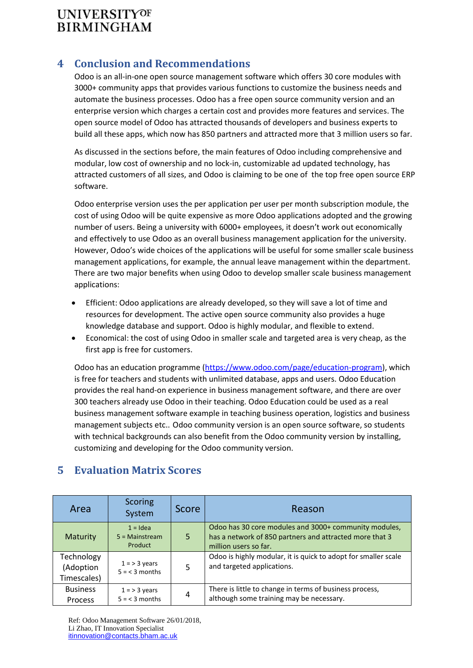# **4 Conclusion and Recommendations**

Odoo is an all-in-one open source management software which offers 30 core modules with 3000+ community apps that provides various functions to customize the business needs and automate the business processes. Odoo has a free open source community version and an enterprise version which charges a certain cost and provides more features and services. The open source model of Odoo has attracted thousands of developers and business experts to build all these apps, which now has 850 partners and attracted more that 3 million users so far.

As discussed in the sections before, the main features of Odoo including comprehensive and modular, low cost of ownership and no lock-in, customizable ad updated technology, has attracted customers of all sizes, and Odoo is claiming to be one of the top free open source ERP software.

Odoo enterprise version uses the per application per user per month subscription module, the cost of using Odoo will be quite expensive as more Odoo applications adopted and the growing number of users. Being a university with 6000+ employees, it doesn't work out economically and effectively to use Odoo as an overall business management application for the university. However, Odoo's wide choices of the applications will be useful for some smaller scale business management applications, for example, the annual leave management within the department. There are two major benefits when using Odoo to develop smaller scale business management applications:

- Efficient: Odoo applications are already developed, so they will save a lot of time and resources for development. The active open source community also provides a huge knowledge database and support. Odoo is highly modular, and flexible to extend.
- Economical: the cost of using Odoo in smaller scale and targeted area is very cheap, as the first app is free for customers.

Odoo has an education programme [\(https://www.odoo.com/page/education-program\)](https://www.odoo.com/page/education-program), which is free for teachers and students with unlimited database, apps and users. Odoo Education provides the real hand-on experience in business management software, and there are over 300 teachers already use Odoo in their teaching. Odoo Education could be used as a real business management software example in teaching business operation, logistics and business management subjects etc.. Odoo community version is an open source software, so students with technical backgrounds can also benefit from the Odoo community version by installing, customizing and developing for the Odoo community version.

| Area                                   | <b>Scoring</b><br>System                  | <b>Score</b> | Reason                                                                                                                                    |
|----------------------------------------|-------------------------------------------|--------------|-------------------------------------------------------------------------------------------------------------------------------------------|
| <b>Maturity</b>                        | $1 =$ Idea<br>$5 =$ Mainstream<br>Product | 5            | Odoo has 30 core modules and 3000+ community modules,<br>has a network of 850 partners and attracted more that 3<br>million users so far. |
| Technology<br>(Adoption<br>Timescales) | $1 = 3$ years<br>$5 = 3$ months           | 5            | Odoo is highly modular, it is quick to adopt for smaller scale<br>and targeted applications.                                              |
| <b>Business</b><br>Process             | $1 = 3$ years<br>$5 = 3$ months           | 4            | There is little to change in terms of business process,<br>although some training may be necessary.                                       |

# **5 Evaluation Matrix Scores**

Ref: Odoo Management Software 26/01/2018, Li Zhao, IT Innovation Specialist itinnovation@contacts.bham.ac.uk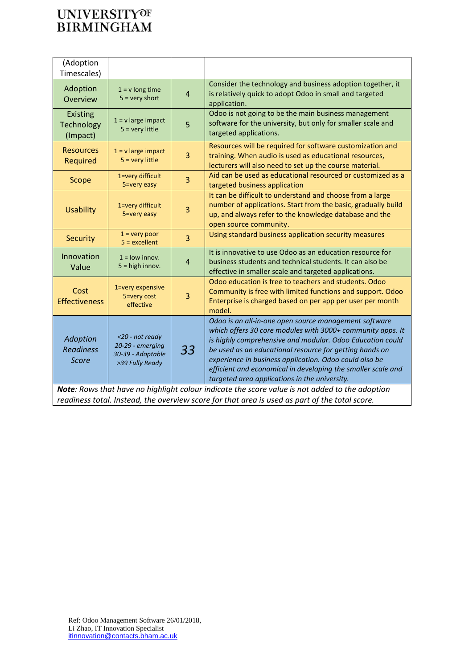| (Adoption<br>Timescales)                                                                                                                                                                         |                                                                             |                |                                                                                                                                                                                                                                                                                                                                                                                                                        |
|--------------------------------------------------------------------------------------------------------------------------------------------------------------------------------------------------|-----------------------------------------------------------------------------|----------------|------------------------------------------------------------------------------------------------------------------------------------------------------------------------------------------------------------------------------------------------------------------------------------------------------------------------------------------------------------------------------------------------------------------------|
| Adoption<br>Overview                                                                                                                                                                             | $1 = v$ long time<br>$5 = very short$                                       | $\overline{4}$ | Consider the technology and business adoption together, it<br>is relatively quick to adopt Odoo in small and targeted<br>application.                                                                                                                                                                                                                                                                                  |
| <b>Existing</b><br>Technology<br>(Impact)                                                                                                                                                        | $1 = v$ large impact<br>$5 =$ very little                                   | 5              | Odoo is not going to be the main business management<br>software for the university, but only for smaller scale and<br>targeted applications.                                                                                                                                                                                                                                                                          |
| <b>Resources</b><br>Required                                                                                                                                                                     | $1 = v$ large impact<br>$5 =$ very little                                   | 3              | Resources will be required for software customization and<br>training. When audio is used as educational resources,<br>lecturers will also need to set up the course material.                                                                                                                                                                                                                                         |
| Scope                                                                                                                                                                                            | 1=very difficult<br>5=very easy                                             | 3              | Aid can be used as educational resourced or customized as a<br>targeted business application                                                                                                                                                                                                                                                                                                                           |
| <b>Usability</b>                                                                                                                                                                                 | 1=very difficult<br>5=very easy                                             | 3              | It can be difficult to understand and choose from a large<br>number of applications. Start from the basic, gradually build<br>up, and always refer to the knowledge database and the<br>open source community.                                                                                                                                                                                                         |
| <b>Security</b>                                                                                                                                                                                  | $1 =$ very poor<br>$5 =$ excellent                                          | $\overline{3}$ | Using standard business application security measures                                                                                                                                                                                                                                                                                                                                                                  |
| Innovation<br>Value                                                                                                                                                                              | $1 =$ low innov.<br>$5 = high$ innov.                                       | $\overline{4}$ | It is innovative to use Odoo as an education resource for<br>business students and technical students. It can also be<br>effective in smaller scale and targeted applications.                                                                                                                                                                                                                                         |
| Cost<br><b>Effectiveness</b>                                                                                                                                                                     | 1=very expensive<br>5=very cost<br>effective                                | 3              | Odoo education is free to teachers and students. Odoo<br>Community is free with limited functions and support. Odoo<br>Enterprise is charged based on per app per user per month<br>model.                                                                                                                                                                                                                             |
| Adoption<br><b>Readiness</b><br><b>Score</b>                                                                                                                                                     | <20 - not ready<br>20-29 - emerging<br>30-39 - Adoptable<br>>39 Fully Ready | 33             | Odoo is an all-in-one open source management software<br>which offers 30 core modules with 3000+ community apps. It<br>is highly comprehensive and modular. Odoo Education could<br>be used as an educational resource for getting hands on<br>experience in business application. Odoo could also be<br>efficient and economical in developing the smaller scale and<br>targeted area applications in the university. |
| Note: Rows that have no highlight colour indicate the score value is not added to the adoption<br>readiness total. Instead, the overview score for that area is used as part of the total score. |                                                                             |                |                                                                                                                                                                                                                                                                                                                                                                                                                        |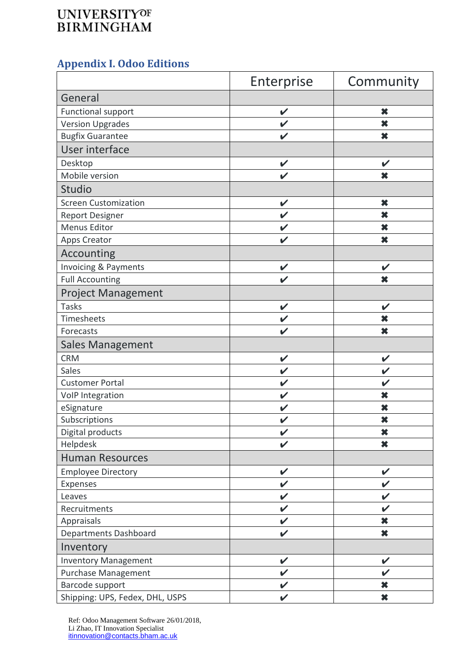# **Appendix I. Odoo Editions**

|                                 | Enterprise                 | Community                  |
|---------------------------------|----------------------------|----------------------------|
| General                         |                            |                            |
| Functional support              | V                          | ×                          |
| <b>Version Upgrades</b>         | $\checkmark$               | ×                          |
| <b>Bugfix Guarantee</b>         | $\boldsymbol{\nu}$         | ×                          |
| User interface                  |                            |                            |
| Desktop                         | $\checkmark$               | $\checkmark$               |
| Mobile version                  | $\mathbf v$                | ×                          |
| Studio                          |                            |                            |
| <b>Screen Customization</b>     | $\checkmark$               | ×                          |
| <b>Report Designer</b>          | $\mathbf v$                | $\boldsymbol{\ast}$        |
| Menus Editor                    | $\checkmark$               | ×                          |
| <b>Apps Creator</b>             | $\checkmark$               | $\boldsymbol{\ast}$        |
| Accounting                      |                            |                            |
| Invoicing & Payments            | $\checkmark$               | $\boldsymbol{\mathscr{C}}$ |
| <b>Full Accounting</b>          |                            | ×                          |
| <b>Project Management</b>       |                            |                            |
| <b>Tasks</b>                    | $\checkmark$               | V                          |
| Timesheets                      | $\checkmark$               | ×                          |
| Forecasts                       | $\boldsymbol{\nu}$         | $\boldsymbol{\ast}$        |
| <b>Sales Management</b>         |                            |                            |
| <b>CRM</b>                      | $\checkmark$               | $\checkmark$               |
| Sales                           | $\checkmark$               | V                          |
| <b>Customer Portal</b>          | $\checkmark$               | V                          |
| VoIP Integration                | $\checkmark$               | ×                          |
| eSignature                      | $\checkmark$               | ×                          |
| Subscriptions                   | $\boldsymbol{\nu}$         | ×                          |
| Digital products                | $\checkmark$               | ×                          |
| Helpdesk                        | $\boldsymbol{\mathcal{U}}$ | $\boldsymbol{\ast}$        |
| <b>Human Resources</b>          |                            |                            |
| <b>Employee Directory</b>       | $\checkmark$               | $\checkmark$               |
| Expenses                        | V                          | V                          |
| Leaves                          | V                          | V                          |
| Recruitments                    | $\checkmark$               | V                          |
| Appraisals                      | $\checkmark$               | $\boldsymbol{\ast}$        |
| Departments Dashboard           | $\checkmark$               | $\boldsymbol{\ast}$        |
| Inventory                       |                            |                            |
| <b>Inventory Management</b>     | $\checkmark$               | V                          |
| Purchase Management             | $\checkmark$               |                            |
| Barcode support                 | $\checkmark$               | $\boldsymbol{\ast}$        |
| Shipping: UPS, Fedex, DHL, USPS | $\checkmark$               | $\boldsymbol{\ast}$        |

Ref: Odoo Management Software 26/01/2018, Li Zhao, IT Innovation Specialist itinnovation@contacts.bham.ac.uk